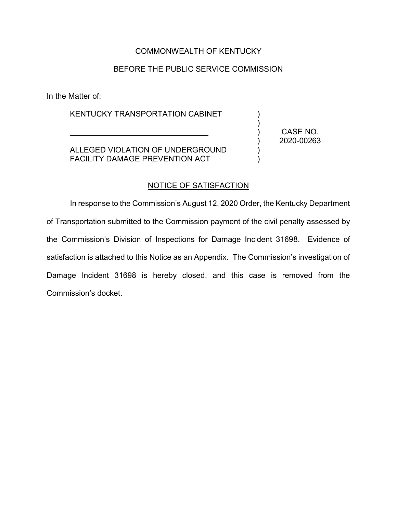## COMMONWEALTH OF KENTUCKY

## BEFORE THE PUBLIC SERVICE COMMISSION

In the Matter of:

KENTUCKY TRANSPORTATION CABINET

\_\_\_\_\_\_\_\_\_\_\_\_\_\_\_\_\_\_\_\_\_\_\_\_\_\_\_\_\_\_\_\_

ALLEGED VIOLATION OF UNDERGROUND FACILITY DAMAGE PREVENTION ACT

CASE NO. 2020-00263

) ) ) ) ) )

#### NOTICE OF SATISFACTION

In response to the Commission's August 12, 2020 Order, the Kentucky Department of Transportation submitted to the Commission payment of the civil penalty assessed by the Commission's Division of Inspections for Damage Incident 31698. Evidence of satisfaction is attached to this Notice as an Appendix. The Commission's investigation of Damage Incident 31698 is hereby closed, and this case is removed from the Commission's docket.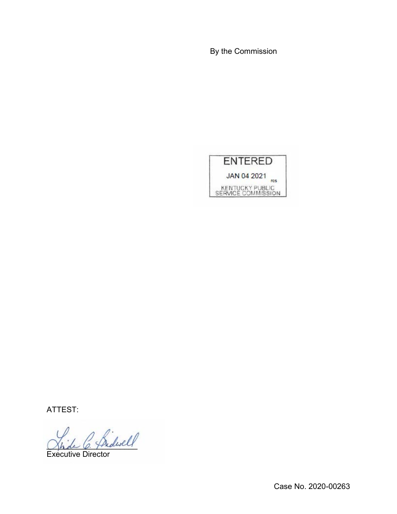By the Commission



ATTEST:

 $^2$  fridwell

Executive Director

Case No. 2020-00263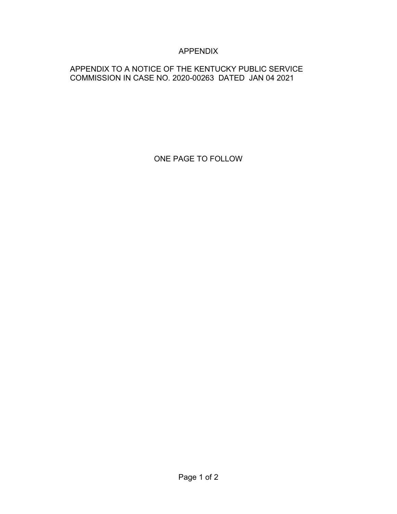# APPENDIX

## APPENDIX TO A NOTICE OF THE KENTUCKY PUBLIC SERVICE COMMISSION IN CASE NO. 2020-00263 DATED JAN 04 2021

ONE PAGE TO FOLLOW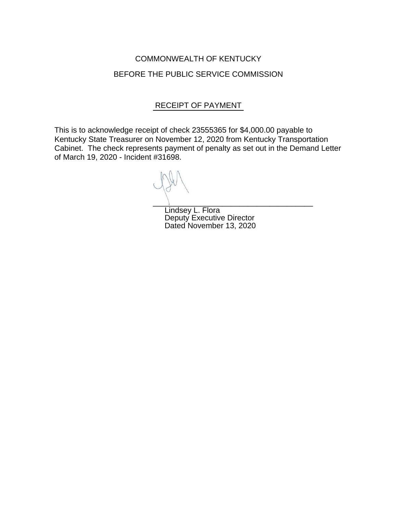# COMMONWEALTH OF KENTUCKY BEFORE THE PUBLIC SERVICE COMMISSION

## RECEIPT OF PAYMENT

This is to acknowledge receipt of check 23555365 for \$4,000.00 payable to Kentucky State Treasurer on November 12, 2020 from Kentucky Transportation Cabinet. The check represents payment of penalty as set out in the Demand Letter of March 19, 2020 - Incident #31698.

\_\_\_\_\_\_\_\_\_\_\_\_\_\_\_\_\_\_\_\_\_\_\_\_\_\_\_\_\_\_\_\_\_\_\_\_\_

Lindsey L. Flora Deputy Executive Director Dated November 13, 2020